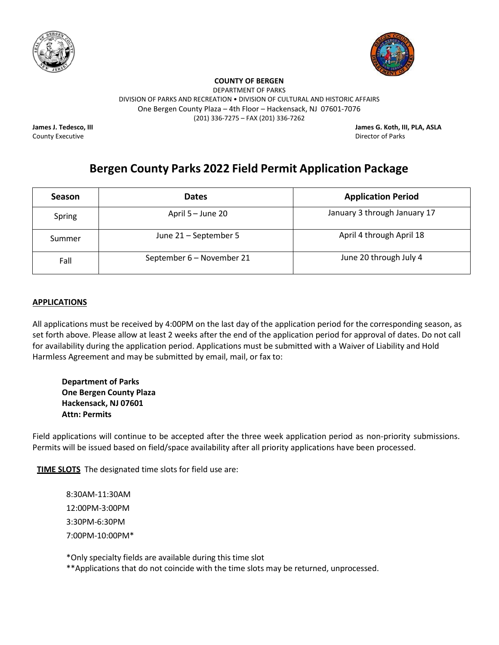



DEPARTMENT OF PARKS

DIVISION OF PARKS AND RECREATION • DIVISION OF CULTURAL AND HISTORIC AFFAIRS

One Bergen County Plaza – 4th Floor – Hackensack, NJ 07601-7076

(201) 336-7275 – FAX (201) 336-7262

County Executive Director of Parks

**James J. Tedesco, III James G. Koth, III, PLA, ASLA**

# **Bergen County Parks 2022 Field Permit Application Package**

| <b>Season</b> | <b>Dates</b>              | <b>Application Period</b>    |
|---------------|---------------------------|------------------------------|
| Spring        | April 5 – June 20         | January 3 through January 17 |
| Summer        | June 21 - September 5     | April 4 through April 18     |
| Fall          | September 6 - November 21 | June 20 through July 4       |

# **APPLICATIONS**

All applications must be received by 4:00PM on the last day of the application period for the corresponding season, as set forth above. Please allow at least 2 weeks after the end of the application period for approval of dates. Do not call for availability during the application period. Applications must be submitted with a Waiver of Liability and Hold Harmless Agreement and may be submitted by email, mail, or fax to:

**Department of Parks One Bergen County Plaza Hackensack, NJ 07601 Attn: Permits** 

Field applications will continue to be accepted after the three week application period as non-priority submissions. Permits will be issued based on field/space availability after all priority applications have been processed.

**TIME SLOTS** The designated time slots for field use are:

8:30AM-11:30AM 12:00PM-3:00PM 3:30PM-6:30PM 7:00PM-10:00PM\*

\*Only specialty fields are available during this time slot

\*\*Applications that do not coincide with the time slots may be returned, unprocessed.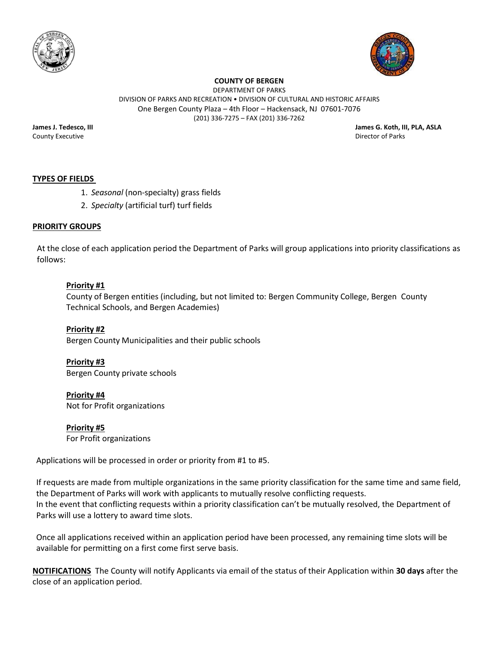



DEPARTMENT OF PARKS DIVISION OF PARKS AND RECREATION • DIVISION OF CULTURAL AND HISTORIC AFFAIRS One Bergen County Plaza – 4th Floor – Hackensack, NJ 07601-7076 (201) 336-7275 – FAX (201) 336-7262

County Executive Director of Parks

**James J. Tedesco, III James G. Koth, III, PLA, ASLA**

# **TYPES OF FIELDS**

- 1. *Seasonal* (non-specialty) grass fields
- 2. *Specialty* (artificial turf) turf fields

## **PRIORITY GROUPS**

At the close of each application period the Department of Parks will group applications into priority classifications as follows:

## **Priority #1**

County of Bergen entities (including, but not limited to: Bergen Community College, Bergen County Technical Schools, and Bergen Academies)

**Priority #2** Bergen County Municipalities and their public schools

**Priority #3** Bergen County private schools

**Priority #4** Not for Profit organizations

**Priority #5** For Profit organizations

Applications will be processed in order or priority from #1 to #5.

If requests are made from multiple organizations in the same priority classification for the same time and same field, the Department of Parks will work with applicants to mutually resolve conflicting requests. In the event that conflicting requests within a priority classification can't be mutually resolved, the Department of Parks will use a lottery to award time slots.

Once all applications received within an application period have been processed, any remaining time slots will be available for permitting on a first come first serve basis.

**NOTIFICATIONS** The County will notify Applicants via email of the status of their Application within **30 days** after the close of an application period.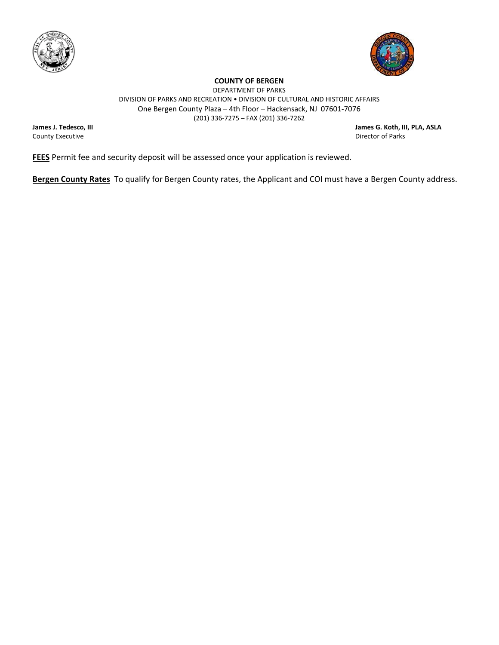



DEPARTMENT OF PARKS DIVISION OF PARKS AND RECREATION • DIVISION OF CULTURAL AND HISTORIC AFFAIRS One Bergen County Plaza – 4th Floor – Hackensack, NJ 07601-7076 (201) 336-7275 – FAX (201) 336-7262

County Executive

**James J. Tedesco, III James G. Koth, III, PLA, ASLA**

**FEES** Permit fee and security deposit will be assessed once your application is reviewed.

**Bergen County Rates** To qualify for Bergen County rates, the Applicant and COI must have a Bergen County address.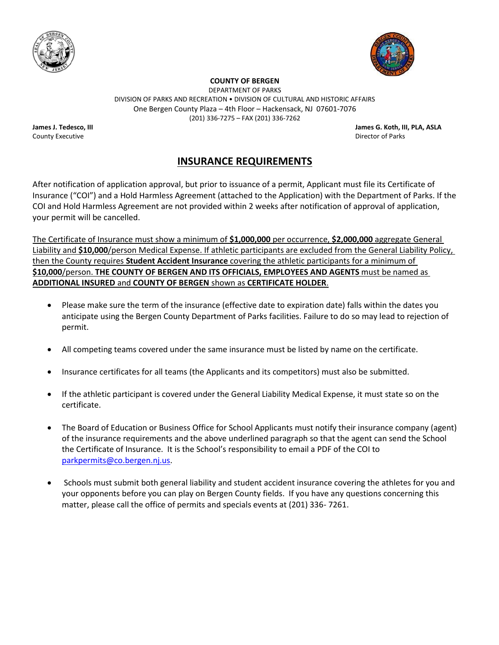



DEPARTMENT OF PARKS DIVISION OF PARKS AND RECREATION • DIVISION OF CULTURAL AND HISTORIC AFFAIRS One Bergen County Plaza – 4th Floor – Hackensack, NJ 07601-7076 (201) 336-7275 – FAX (201) 336-7262

County Executive Director of Parks

**James J. Tedesco, III James G. Koth, III, PLA, ASLA**

# **INSURANCE REQUIREMENTS**

After notification of application approval, but prior to issuance of a permit, Applicant must file its Certificate of Insurance ("COI") and a Hold Harmless Agreement (attached to the Application) with the Department of Parks. If the COI and Hold Harmless Agreement are not provided within 2 weeks after notification of approval of application, your permit will be cancelled.

The Certificate of Insurance must show a minimum of **\$1,000,000** per occurrence, **\$2,000,000** aggregate General Liability and **\$10,000**/person Medical Expense. If athletic participants are excluded from the General Liability Policy, then the County requires **Student Accident Insurance** covering the athletic participants for a minimum of **\$10,000**/person. **THE COUNTY OF BERGEN AND ITS OFFICIALS, EMPLOYEES AND AGENTS** must be named as **ADDITIONAL INSURED** and **COUNTY OF BERGEN** shown as **CERTIFICATE HOLDER**.

- Please make sure the term of the insurance (effective date to expiration date) falls within the dates you anticipate using the Bergen County Department of Parks facilities. Failure to do so may lead to rejection of permit.
- All competing teams covered under the same insurance must be listed by name on the certificate.
- Insurance certificates for all teams (the Applicants and its competitors) must also be submitted.
- If the athletic participant is covered under the General Liability Medical Expense, it must state so on the certificate.
- The Board of Education or Business Office for School Applicants must notify their insurance company (agent) of the insurance requirements and the above underlined paragraph so that the agent can send the School the Certificate of Insurance. It is the School's responsibility to email a PDF of the COI to [parkpermits@co.bergen.nj.us.](mailto:parkpermits@co.bergen.nj.us)
- Schools must submit both general liability and student accident insurance covering the athletes for you and your opponents before you can play on Bergen County fields. If you have any questions concerning this matter, please call the office of permits and specials events at (201) 336- 7261.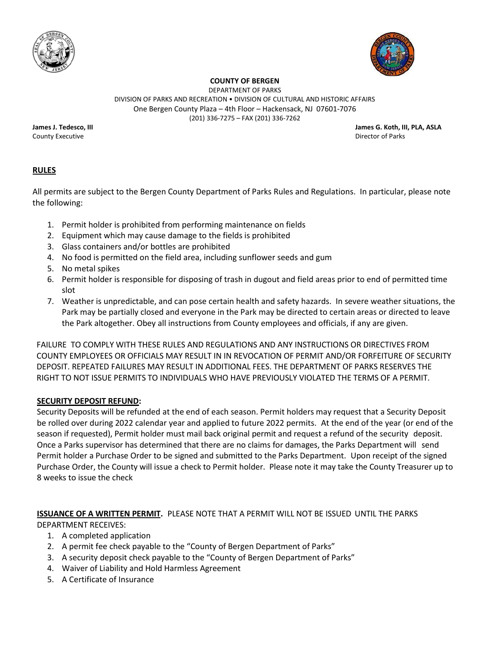



DEPARTMENT OF PARKS DIVISION OF PARKS AND RECREATION • DIVISION OF CULTURAL AND HISTORIC AFFAIRS One Bergen County Plaza – 4th Floor – Hackensack, NJ 07601-7076 (201) 336-7275 – FAX (201) 336-7262

County Executive Director of Parks

**James J. Tedesco, III James G. Koth, III, PLA, ASLA**

# **RULES**

All permits are subject to the Bergen County Department of Parks Rules and Regulations. In particular, please note the following:

- 1. Permit holder is prohibited from performing maintenance on fields
- 2. Equipment which may cause damage to the fields is prohibited
- 3. Glass containers and/or bottles are prohibited
- 4. No food is permitted on the field area, including sunflower seeds and gum
- 5. No metal spikes
- 6. Permit holder is responsible for disposing of trash in dugout and field areas prior to end of permitted time slot
- 7. Weather is unpredictable, and can pose certain health and safety hazards. In severe weather situations, the Park may be partially closed and everyone in the Park may be directed to certain areas or directed to leave the Park altogether. Obey all instructions from County employees and officials, if any are given.

FAILURE TO COMPLY WITH THESE RULES AND REGULATIONS AND ANY INSTRUCTIONS OR DIRECTIVES FROM COUNTY EMPLOYEES OR OFFICIALS MAY RESULT IN IN REVOCATION OF PERMIT AND/OR FORFEITURE OF SECURITY DEPOSIT. REPEATED FAILURES MAY RESULT IN ADDITIONAL FEES. THE DEPARTMENT OF PARKS RESERVES THE RIGHT TO NOT ISSUE PERMITS TO INDIVIDUALS WHO HAVE PREVIOUSLY VIOLATED THE TERMS OF A PERMIT.

# **SECURITY DEPOSIT REFUND:**

Security Deposits will be refunded at the end of each season. Permit holders may request that a Security Deposit be rolled over during 2022 calendar year and applied to future 2022 permits. At the end of the year (or end of the season if requested), Permit holder must mail back original permit and request a refund of the security deposit. Once a Parks supervisor has determined that there are no claims for damages, the Parks Department will send Permit holder a Purchase Order to be signed and submitted to the Parks Department. Upon receipt of the signed Purchase Order, the County will issue a check to Permit holder. Please note it may take the County Treasurer up to 8 weeks to issue the check

**ISSUANCE OF A WRITTEN PERMIT.** PLEASE NOTE THAT A PERMIT WILL NOT BE ISSUED UNTIL THE PARKS

DEPARTMENT RECEIVES:

- 1. A completed application
- 2. A permit fee check payable to the "County of Bergen Department of Parks"
- 3. A security deposit check payable to the "County of Bergen Department of Parks"
- 4. Waiver of Liability and Hold Harmless Agreement
- 5. A Certificate of Insurance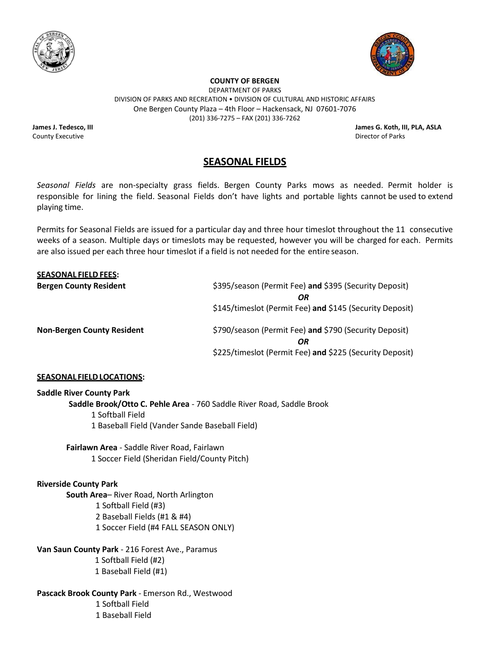



DEPARTMENT OF PARKS DIVISION OF PARKS AND RECREATION • DIVISION OF CULTURAL AND HISTORIC AFFAIRS One Bergen County Plaza – 4th Floor – Hackensack, NJ 07601-7076 (201) 336-7275 – FAX (201) 336-7262

County Executive Director of Parks

**James J. Tedesco, III James G. Koth, III, PLA, ASLA**

# **SEASONAL FIELDS**

*Seasonal Fields* are non-specialty grass fields. Bergen County Parks mows as needed. Permit holder is responsible for lining the field. Seasonal Fields don't have lights and portable lights cannot be used to extend playing time.

Permits for Seasonal Fields are issued for a particular day and three hour timeslot throughout the 11 consecutive weeks of a season. Multiple days or timeslots may be requested, however you will be charged for each. Permits are also issued per each three hour timeslot if a field is not needed for the entire season.

| <b>SEASONAL FIELD FEES:</b>       |                                                          |
|-----------------------------------|----------------------------------------------------------|
| <b>Bergen County Resident</b>     | \$395/season (Permit Fee) and \$395 (Security Deposit)   |
|                                   | OR                                                       |
|                                   | \$145/timeslot (Permit Fee) and \$145 (Security Deposit) |
| <b>Non-Bergen County Resident</b> | \$790/season (Permit Fee) and \$790 (Security Deposit)   |
|                                   | OR                                                       |
|                                   | \$225/timeslot (Permit Fee) and \$225 (Security Deposit) |

#### **SEASONAL FIELDLOCATIONS:**

#### **Saddle River County Park**

**Saddle Brook/Otto C. Pehle Area** - 760 Saddle River Road, Saddle Brook

- 1 Softball Field
- 1 Baseball Field (Vander Sande Baseball Field)

**Fairlawn Area** - Saddle River Road, Fairlawn 1 Soccer Field (Sheridan Field/County Pitch)

## **Riverside County Park**

**South Area**– River Road, North Arlington 1 Softball Field (#3) 2 Baseball Fields (#1 & #4) 1 Soccer Field (#4 FALL SEASON ONLY)

**Van Saun County Park** - 216 Forest Ave., Paramus 1 Softball Field (#2) 1 Baseball Field (#1)

**Pascack Brook County Park** - Emerson Rd., Westwood 1 Softball Field 1 Baseball Field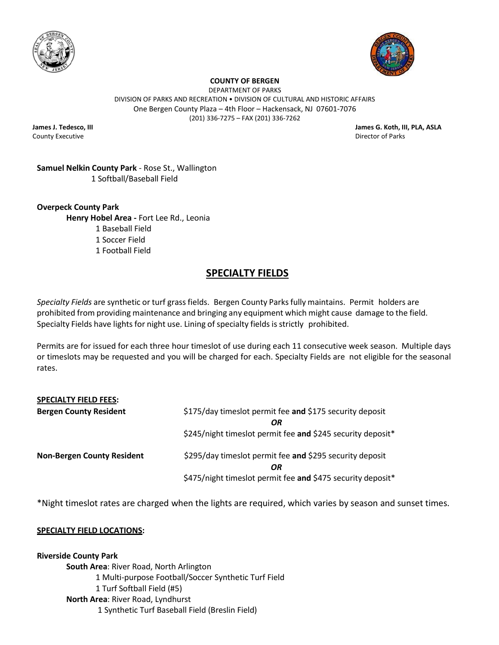



DEPARTMENT OF PARKS DIVISION OF PARKS AND RECREATION • DIVISION OF CULTURAL AND HISTORIC AFFAIRS One Bergen County Plaza – 4th Floor – Hackensack, NJ 07601-7076 (201) 336-7275 – FAX (201) 336-7262

County Executive Director of Parks

**James J. Tedesco, III James G. Koth, III, PLA, ASLA**

# **Samuel Nelkin County Park** - Rose St., Wallington 1 Softball/Baseball Field

**Overpeck County Park Henry Hobel Area -** Fort Lee Rd., Leonia 1 Baseball Field 1 Soccer Field

1 Football Field

# **SPECIALTY FIELDS**

*Specialty Fields* are synthetic or turf grass fields. Bergen County Parksfully maintains. Permit holders are prohibited from providing maintenance and bringing any equipment which might cause damage to the field. Specialty Fields have lights for night use. Lining of specialty fields is strictly prohibited.

Permits are for issued for each three hour timeslot of use during each 11 consecutive week season. Multiple days or timeslots may be requested and you will be charged for each. Specialty Fields are not eligible for the seasonal rates.

| <b>SPECIALTY FIELD FEES:</b>      |                                                                |
|-----------------------------------|----------------------------------------------------------------|
| <b>Bergen County Resident</b>     | \$175/day timeslot permit fee and \$175 security deposit<br>OR |
|                                   | \$245/night timeslot permit fee and \$245 security deposit*    |
| <b>Non-Bergen County Resident</b> | \$295/day timeslot permit fee and \$295 security deposit<br>OR |
|                                   | \$475/night timeslot permit fee and \$475 security deposit*    |

\*Night timeslot rates are charged when the lights are required, which varies by season and sunset times.

# **SPECIALTY FIELD LOCATIONS:**

**Riverside County Park South Area**: River Road, North Arlington 1 Multi-purpose Football/Soccer Synthetic Turf Field 1 Turf Softball Field (#5) **North Area**: River Road, Lyndhurst 1 Synthetic Turf Baseball Field (Breslin Field)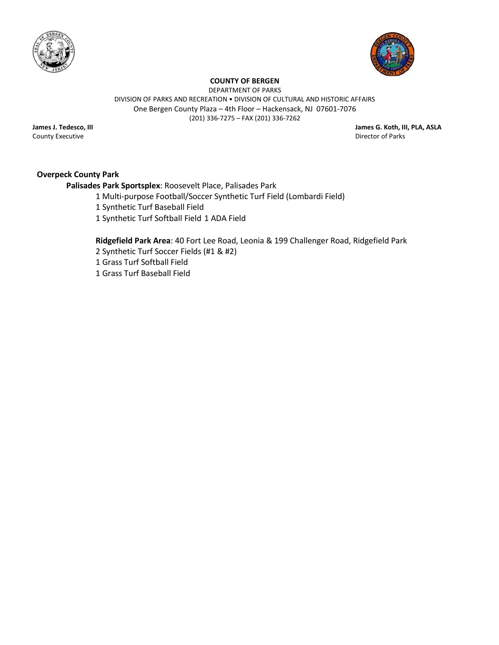



DEPARTMENT OF PARKS

DIVISION OF PARKS AND RECREATION • DIVISION OF CULTURAL AND HISTORIC AFFAIRS One Bergen County Plaza – 4th Floor – Hackensack, NJ 07601-7076

(201) 336-7275 – FAX (201) 336-7262

County Executive

**James J. Tedesco, III James G. Koth, III, PLA, ASLA**

# **Overpeck County Park**

**Palisades Park Sportsplex**: Roosevelt Place, Palisades Park

- 1 Multi-purpose Football/Soccer Synthetic Turf Field (Lombardi Field)
- 1 Synthetic Turf Baseball Field
- 1 Synthetic Turf Softball Field 1 ADA Field

**Ridgefield Park Area**: 40 Fort Lee Road, Leonia & 199 Challenger Road, Ridgefield Park

- 2 Synthetic Turf Soccer Fields (#1 & #2)
- 1 Grass Turf Softball Field
- 1 Grass Turf Baseball Field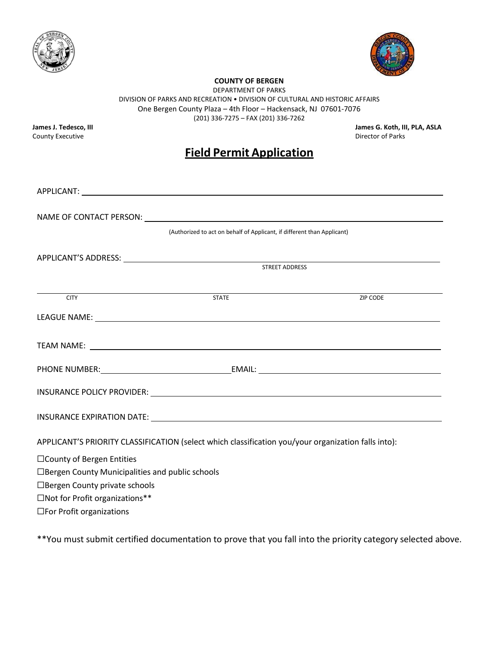



DEPARTMENT OF PARKS

DIVISION OF PARKS AND RECREATION • DIVISION OF CULTURAL AND HISTORIC AFFAIRS One Bergen County Plaza – 4th Floor – Hackensack, NJ 07601-7076

(201) 336-7275 – FAX (201) 336-7262

County Executive

**James J. Tedesco, III James G. Koth, III, PLA, ASLA**

# **Field Permit Application**

|                                                        | (Authorized to act on behalf of Applicant, if different than Applicant)                             |          |
|--------------------------------------------------------|-----------------------------------------------------------------------------------------------------|----------|
|                                                        |                                                                                                     |          |
|                                                        | STREET ADDRESS                                                                                      |          |
| <b>CITY</b>                                            | <b>STATE</b>                                                                                        | ZIP CODE |
|                                                        |                                                                                                     |          |
|                                                        |                                                                                                     |          |
|                                                        |                                                                                                     |          |
|                                                        |                                                                                                     |          |
|                                                        |                                                                                                     |          |
|                                                        | APPLICANT'S PRIORITY CLASSIFICATION (select which classification you/your organization falls into): |          |
| □ County of Bergen Entities                            |                                                                                                     |          |
| $\Box$ Bergen County Municipalities and public schools |                                                                                                     |          |
| □ Bergen County private schools                        |                                                                                                     |          |
| □Not for Profit organizations**                        |                                                                                                     |          |
| $\Box$ For Profit organizations                        |                                                                                                     |          |

\*\*You must submit certified documentation to prove that you fall into the priority category selected above.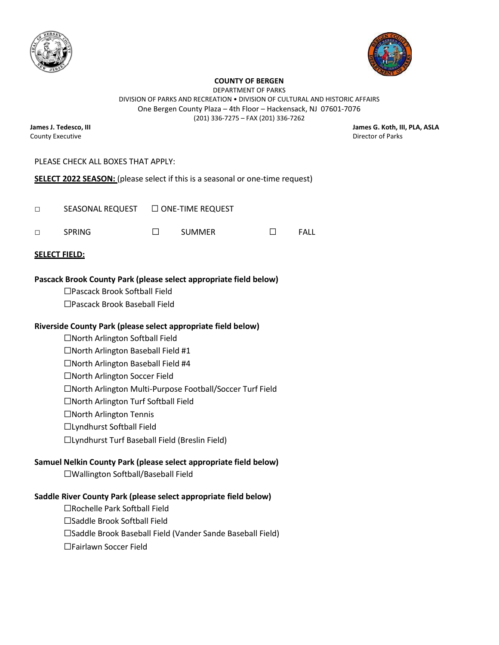



DEPARTMENT OF PARKS DIVISION OF PARKS AND RECREATION • DIVISION OF CULTURAL AND HISTORIC AFFAIRS One Bergen County Plaza – 4th Floor – Hackensack, NJ 07601-7076

(201) 336-7275 – FAX (201) 336-7262

County Executive Director of Parks

**James J. Tedesco, III James G. Koth, III, PLA, ASLA**

## PLEASE CHECK ALL BOXES THAT APPLY:

**SELECT 2022 SEASON:** (please select if this is a seasonal or one-time request)

| $\Box$ | SEASONAL REQUEST □ ONE-TIME REQUEST |        |      |
|--------|-------------------------------------|--------|------|
| $\Box$ | SPRING                              | SUMMER | FALL |

#### **SELECT FIELD:**

## **Pascack Brook County Park (please select appropriate field below)**

- ☐Pascack Brook Softball Field
- ☐Pascack Brook Baseball Field

### **Riverside County Park (please select appropriate field below)**

- ☐North Arlington Softball Field ☐North Arlington Baseball Field #1 ☐North Arlington Baseball Field #4 ☐North Arlington Soccer Field ☐North Arlington Multi-Purpose Football/Soccer Turf Field ☐North Arlington Turf Softball Field ☐North Arlington Tennis ☐Lyndhurst Softball Field
- ☐Lyndhurst Turf Baseball Field (Breslin Field)

## **Samuel Nelkin County Park (please select appropriate field below)**

☐Wallington Softball/Baseball Field

## **Saddle River County Park (please select appropriate field below)**

- ☐Rochelle Park Softball Field
- ☐Saddle Brook Softball Field
- ☐Saddle Brook Baseball Field (Vander Sande Baseball Field)
- ☐Fairlawn Soccer Field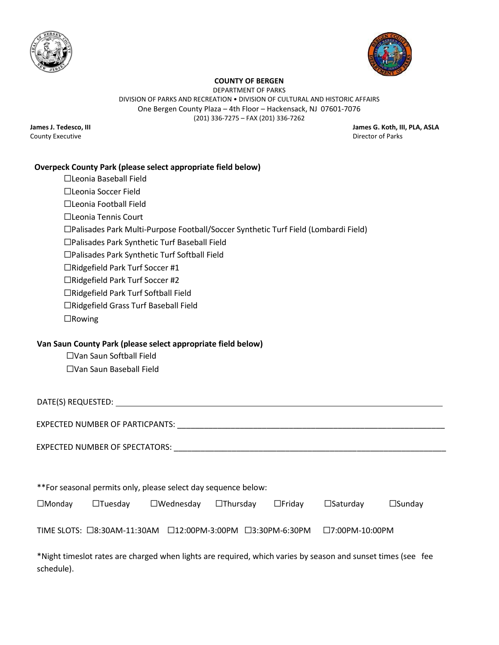



DEPARTMENT OF PARKS DIVISION OF PARKS AND RECREATION • DIVISION OF CULTURAL AND HISTORIC AFFAIRS One Bergen County Plaza – 4th Floor – Hackensack, NJ 07601-7076

(201) 336-7275 – FAX (201) 336-7262

County Executive

**James J. Tedesco, III James G. Koth, III, PLA, ASLA**

# **Overpeck County Park (please select appropriate field below)**

| □Leonia Baseball Field                                                                                               |                                        |
|----------------------------------------------------------------------------------------------------------------------|----------------------------------------|
| □Leonia Soccer Field                                                                                                 |                                        |
| □Leonia Football Field                                                                                               |                                        |
| □Leonia Tennis Court                                                                                                 |                                        |
| □Palisades Park Multi-Purpose Football/Soccer Synthetic Turf Field (Lombardi Field)                                  |                                        |
| □Palisades Park Synthetic Turf Baseball Field                                                                        |                                        |
| □Palisades Park Synthetic Turf Softball Field                                                                        |                                        |
| □Ridgefield Park Turf Soccer #1                                                                                      |                                        |
| □Ridgefield Park Turf Soccer #2                                                                                      |                                        |
| □Ridgefield Park Turf Softball Field                                                                                 |                                        |
| □Ridgefield Grass Turf Baseball Field                                                                                |                                        |
| $\Box$ Rowing                                                                                                        |                                        |
| Van Saun County Park (please select appropriate field below)<br>□Van Saun Softball Field<br>□Van Saun Baseball Field |                                        |
|                                                                                                                      |                                        |
|                                                                                                                      |                                        |
| EXPECTED NUMBER OF SPECTATORS: UNIVERSE IN A SERIES OF SPECTATORS:                                                   |                                        |
|                                                                                                                      |                                        |
| **For seasonal permits only, please select day sequence below:                                                       |                                        |
| $\Box$ Tuesday<br>$\square$ Wednesday<br>$\Box$ Thursday<br>$\Box$ Monday<br>$\Box$ Friday                           | $\square$ Saturday<br>$\square$ Sunday |
| TIME SLOTS: □8:30AM-11:30AM □12:00PM-3:00PM □3:30PM-6:30PM                                                           | $\square$ 7:00PM-10:00PM               |

\*Night timeslot rates are charged when lights are required, which varies by season and sunset times (see fee schedule).